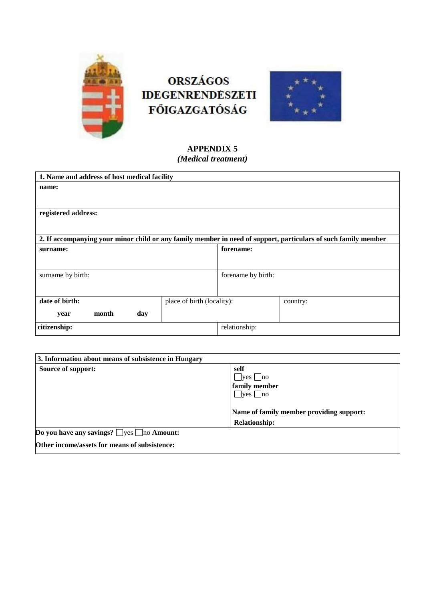

# **ORSZÁGOS IDEGENRENDESZETI FŐIGAZGATÓSÁG**



# **APPENDIX 5** *(Medical treatment)*

| 1. Name and address of host medical facility                                                                   |                            |                    |          |  |
|----------------------------------------------------------------------------------------------------------------|----------------------------|--------------------|----------|--|
| name:                                                                                                          |                            |                    |          |  |
|                                                                                                                |                            |                    |          |  |
| registered address:                                                                                            |                            |                    |          |  |
|                                                                                                                |                            |                    |          |  |
| 2. If accompanying your minor child or any family member in need of support, particulars of such family member |                            |                    |          |  |
| surname:                                                                                                       |                            | forename:          |          |  |
|                                                                                                                |                            |                    |          |  |
| surname by birth:                                                                                              |                            | forename by birth: |          |  |
|                                                                                                                |                            |                    |          |  |
| date of birth:                                                                                                 | place of birth (locality): |                    | country: |  |
| month<br>day<br>year                                                                                           |                            |                    |          |  |
| citizenship:                                                                                                   |                            | relationship:      |          |  |

| 3. Information about means of subsistence in Hungary  |                                          |
|-------------------------------------------------------|------------------------------------------|
| Source of support:                                    | self                                     |
|                                                       | $\Box$ yes $\Box$ no                     |
|                                                       | family member                            |
|                                                       | $\bigcup$ yes $\bigcup$ no               |
|                                                       |                                          |
|                                                       | Name of family member providing support: |
|                                                       | <b>Relationship:</b>                     |
| Do you have any savings? $\Box$ yes $\Box$ no Amount: |                                          |
| Other income/assets for means of subsistence:         |                                          |